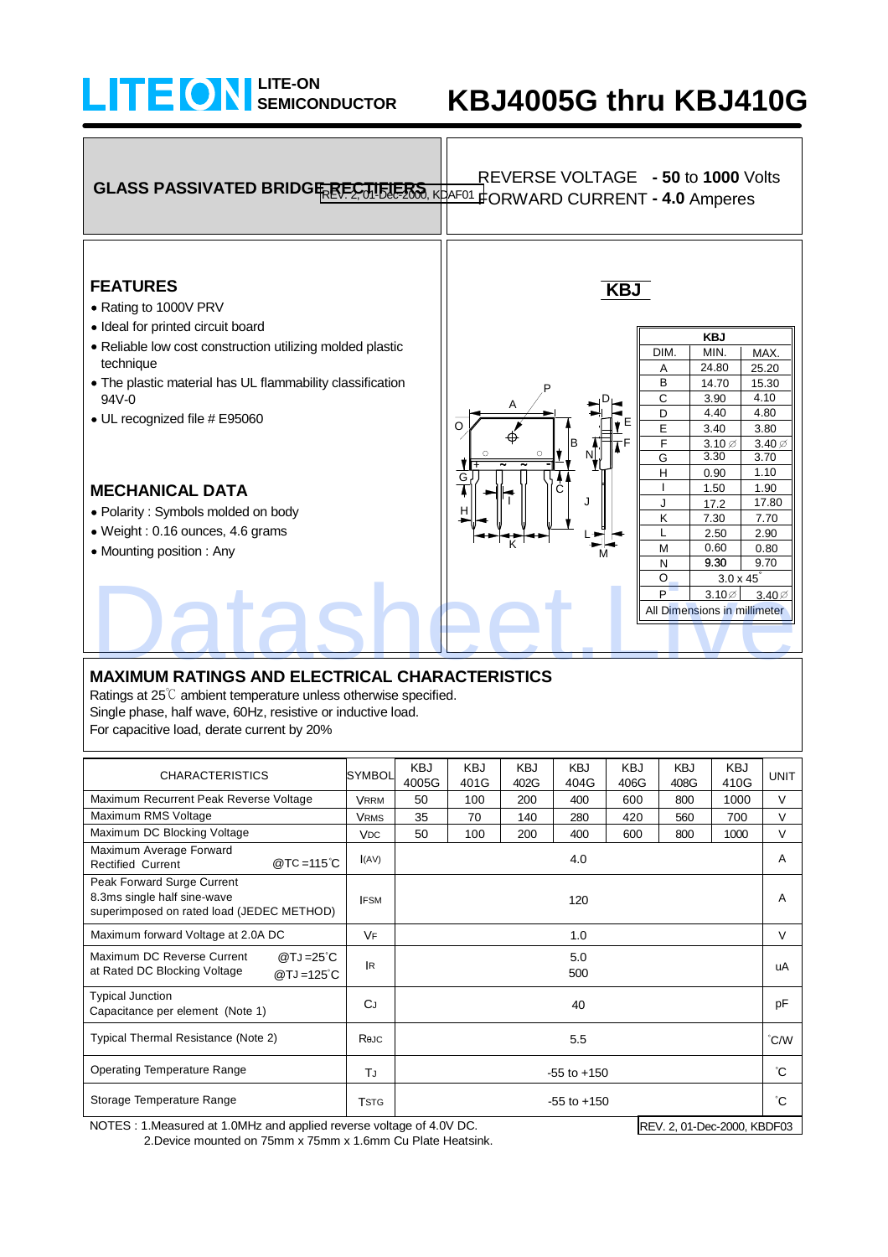## **SEMICONDUCTOR LITE-ON**

# **KBJ4005G thru KBJ410G**



### **MAXIMUM RATINGS AND ELECTRICAL CHARACTERISTICS**

Ratings at 25℃ ambient temperature unless otherwise specified. Single phase, half wave, 60Hz, resistive or inductive load. For capacitive load, derate current by 20%

| <b>CHARACTERISTICS</b>                                                                                 | <b>SYMBOL</b>         | <b>KBJ</b><br>4005G | <b>KBJ</b><br>401G | <b>KBJ</b><br>402G | <b>KBJ</b><br>404G | <b>KBJ</b><br>406G | <b>KBJ</b><br>408G | <b>KBJ</b><br>410G | <b>UNIT</b>    |
|--------------------------------------------------------------------------------------------------------|-----------------------|---------------------|--------------------|--------------------|--------------------|--------------------|--------------------|--------------------|----------------|
| Maximum Recurrent Peak Reverse Voltage                                                                 | <b>VRRM</b>           | 50                  | 100                | 200                | 400                | 600                | 800                | 1000               | $\vee$         |
| Maximum RMS Voltage                                                                                    | <b>VRMS</b>           | 35                  | 70                 | 140                | 280                | 420                | 560                | 700                | $\vee$         |
| Maximum DC Blocking Voltage                                                                            | <b>V<sub>DC</sub></b> | 50                  | 100                | 200                | 400                | 600                | 800                | 1000               | $\vee$         |
| Maximum Average Forward<br>@ TC = 115 °C<br><b>Rectified Current</b>                                   | (AV)                  | 4.0                 |                    |                    |                    |                    |                    |                    | $\overline{A}$ |
| Peak Forward Surge Current<br>8.3ms single half sine-wave<br>superimposed on rated load (JEDEC METHOD) | <b>IFSM</b>           | 120                 |                    |                    |                    |                    |                    |                    | A              |
| Maximum forward Voltage at 2.0A DC                                                                     | <b>VF</b>             | 1.0                 |                    |                    |                    |                    |                    |                    | $\vee$         |
| Maximum DC Reverse Current<br>@TJ=25 $^{\circ}$ C<br>at Rated DC Blocking Voltage<br>$@TJ = 125°C$     | <b>IR</b>             | 5.0<br>500          |                    |                    |                    |                    |                    |                    | uA             |
| <b>Typical Junction</b><br>Capacitance per element (Note 1)                                            | CJ                    | 40                  |                    |                    |                    |                    |                    |                    | pF             |
| Typical Thermal Resistance (Note 2)                                                                    | Rejc                  | 5.5                 |                    |                    |                    |                    |                    |                    | °C/W           |
| <b>Operating Temperature Range</b>                                                                     | TJ                    | $-55$ to $+150$     |                    |                    |                    |                    |                    |                    | °C.            |
| Storage Temperature Range                                                                              | <b>TSTG</b>           | $-55$ to $+150$     |                    |                    |                    |                    |                    |                    | °C.            |

NOTES : 1.Measured at 1.0MHz and applied reverse voltage of 4.0V DC. 2.Device mounted on 75mm x 75mm x 1.6mm Cu Plate Heatsink. REV. 2, 01-Dec-2000, KBDF03